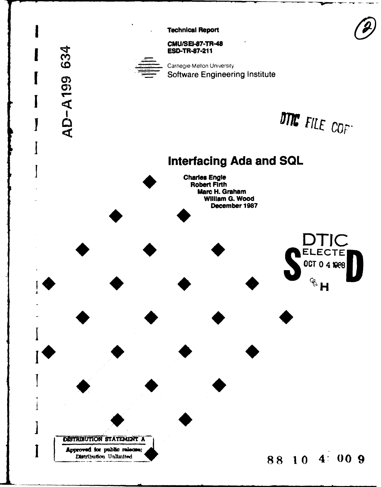**I Technical Report**

**CMU/SEI-87-TR-48 -- ESD-TR-87-211**

Carnegie-Mellon University<br>Software Engineering Institute

**JING** FILE COP-

**DTIC**

**OCT 0** <sup>4</sup>**W880**

 $\mathbf{A}^{\mathcal{P}}$ 

**ELECTE** 

# **Interfacing Ada and SQL**

**Charles Engle Robert Firth Marc H. Graham William G. Wood December 1987**

**EXTRIBUTION STATEMENT A**<br> **Approved for public release:**<br> **Distribution Unlimited** 88 10 4:00 9

*-* \*

634

**AD-A199** 

1 **{**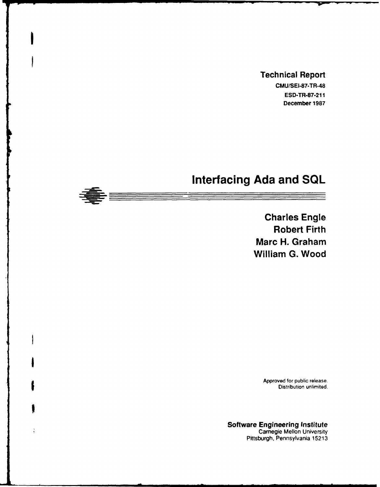Technical Report **CMU/SEI-87-TR-48**

> **ESD-TR-87-211** December **1987**

# **Interfacing Ada and SQL**



Approved for public release. Distribution unlimited.

Software Engineering Institute Carnegie Mellon University Pittsburgh, Pennsylvania **15213**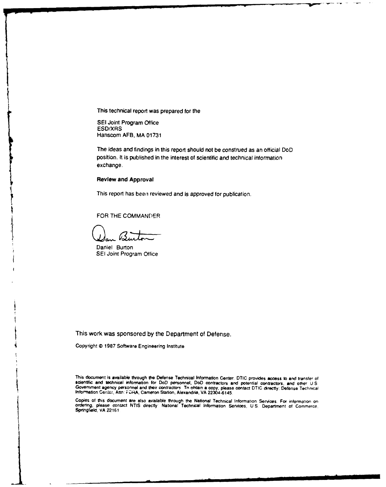This technical report was prepared for the

**SEI** Joint Program Office ESD/XRS Hanscom AFB, MA **01731**

The ideas and findings in this report should not be construed as an official DoD position. It is published in the interest of scientific and technical information exchange.

*T* ,- --, **-r** 

#### Review and Approval

This report has been reviewed and is approved for publication.

FOR THE COMMANDER

Daniel Burton SEI Joint Program Office

This work was sponsored by the Department of Defense.

Copyright © **1987** Software Engineering Institute

This document is available through the Defense Technical Information Center. DTIC provides access to and transfer of scientific and technical information for DoD personnel, DoD contractors and potential contractors, and other U.S<br>Government agency personnel and their contractors Tn obtain a copy, please contact DTIC directly: Defense Tec Information Center, Attn: FDRA, Cameron Station, Alexandria, VA 22304-6145.

Copies of this document are also available through the National Technical Information Services. For information on<br>ordering, please contact NTIS directly: National Technical Information Services, U.S. Department of Commerc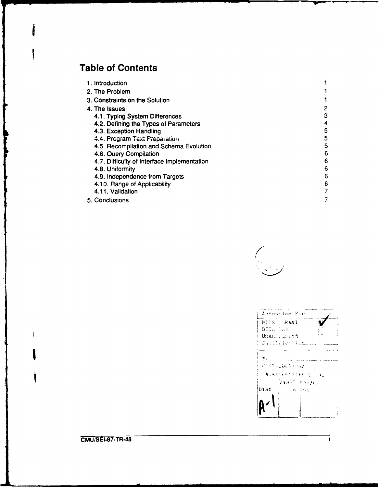# **Table of Contents**

**i**

| 1. Introduction                             |   |
|---------------------------------------------|---|
| 2. The Problem                              |   |
| 3. Constraints on the Solution              |   |
| 4. The Issues                               | 2 |
| 4.1. Typing System Differences              | 3 |
| 4.2. Defining the Types of Parameters       | 4 |
| 4.3. Exception Handling                     | 5 |
| 4.4. Program Text Preparation               | 5 |
| 4.5. Recompilation and Schema Evolution     | 5 |
| 4.6. Query Compilation                      | 6 |
| 4.7. Difficulty of Interface Implementation | 6 |
| 4.8. Uniformity                             | 6 |
| 4.9. Independence from Targets              | 6 |
| 4.10. Range of Applicability                | 6 |
| 4.11. Validation                            | 7 |
| 5. Conclusions                              | 7 |
|                                             |   |



Accession For  $\sim 100$  and  $\sim 100$ NTIS GRA&I **7,1 I AW&**  Justiffention Land الربط المعدد فكالمحادث المركبس الأدالي التنفذ للما  $\begin{bmatrix} \mathbf{P} \mathbf{V} & \mathbf{I} & \mathbf{I} & \mathbf{I} & \mathbf{I} & \mathbf{I} & \mathbf{I} & \mathbf{I} & \mathbf{I} & \mathbf{I} \\ \mathbf{P} \mathbf{I} & \mathbf{I} & \mathbf{I} & \mathbf{I} & \mathbf{I} & \mathbf{I} & \mathbf{I} & \mathbf{I} & \mathbf{I} & \mathbf{I} \\ \mathbf{P} \mathbf{I} & \mathbf{I} & \mathbf{I} & \mathbf{I} & \mathbf{I} & \mathbf{I} & \mathbf{I} & \mathbf{I} &$  $A$ vsilehti(ty Clus) Dist Selai A'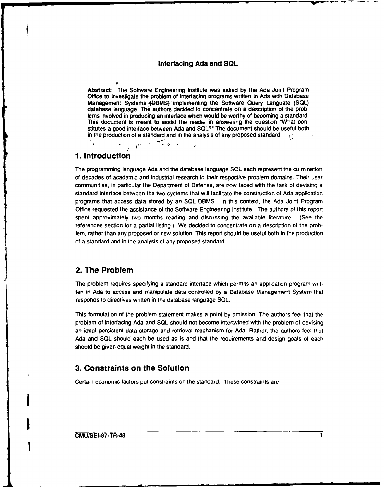#### Interfacing Ada and **SQL**

Abstract: The Software Engineering Institute was asked **by** the Ada Joint Program Office to investigate the problem of interfacing programs written in Ada with Database Management Systems **4OBMS)** implementing the Software Query Languate **(SQL)** database language. The authors decided to concentrate on a description of the problems involved in producing an interface which would be worthy of becoming a standard. This document is meant to assist the reader in answering the question "What constitutes a good interface between Ada and **SQL?"** The document should be useful both in the production of a standard and in the analysis of any proposed standard.

الداري المقاتاة  $\mathcal{L}$ .  $\sim 10$ 

# **1.** Introduction

w

The programming language Ada and the database language **SQL** each represent the culmination of decades of academic and industrial research in their respective problem domains. Their user communities, in particular the Department of Defense, are now faced with the task of devising a standard interface between the two systems that will facilitate the construction of Ada application programs that access data stored **by** an **SQL** DBMS. In this context, the Ada Joint Program Office requested the assistance of the Software Engineering Institute. The authors of this report spent approximately two months reading and discussing the available literature. (See the references section for a partial listing.) We decided to concentrate on a description of the problem, rather than any proposed or new solution. This report should be useful both in the production of a standard and in the analysis of any proposed standard.

# 2. The Problem

The problem requires specifying a standard interface which permits an application program written in Ada to access and manipulate data controlled **by** a Database Management System that responds to directives written in the database language **SQL.**

This formulation of the problem statement makes a point **by** omission. The authors feel that the problem of interfacing Ada and **SQL** should not become intertwined with the problem of devising an ideal persistent data storage and retrieval mechanism for Ada. Rather, the authors feel that Ada and **SQL** should each be used as is and that the requirements and design goals of each should be given equal weight in the standard.

# **3.** Constraints on the Solution

Certain economic factors put constraints on the standard. These constraints are:

**I**

**I**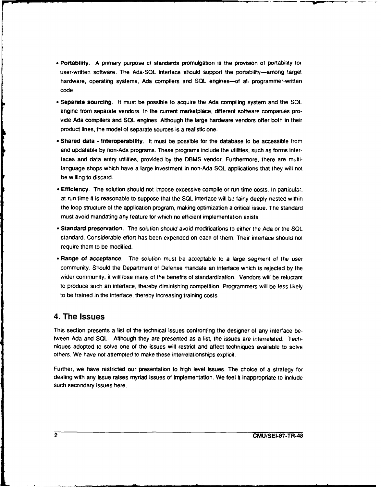- \* Portability. **A** primary purpose of standards promulgation is the provision of portability for user-written software. The Ada-SQL interlace should support the portability-among target hardware, operating systems, Ada compilers and **SQL** engines-of all programmer-written code.
- \* Separate sourcing. It must be possible to acquire the Ada compiling system and the **SQL** engine from separate vendors. In the current marketplace, different software companies provide Ada compilers and **SQL** engines Although the large hardware vendors offer both in their product lines, the model of separate sources is a realistic one.
- **"** Shared data **-** Interoperablllty. It must be possible for the database to be accessible from and updatable **by** non-Ada programs. These programs include the utilities, such as forms interlaces and data entry utilities, provided **by** the DBMS vendor. Furthermore, there are multilanguage shops which have a large investment in non-Ada **SQL** applications that they will not be willing to discard.
- $\bullet$  **Efficiency**. The solution should not impose excessive compile or run time costs. In particular, at run time it is reasonable to suppose that the SQL interface will be fairly deeply nested within the loop structure of the application program, making optimization a critical issue. The standard must avoid mandating any feature for which no efficient implementation exists.
- **"** Standard preservation. The solution should avoid modifications to either the Ada or the **SQL** standard. Considerable effort has been expended on each of them. Their interface should not require them to be modified.
- **"** Range of acceptance. The solution must be acceptable to a large segment of the user community. Should the Department of Defense mandate an interface which is rejected by the wider community, it will lose many of the benefits of standardization. Vendors will be reluctant to produce such an interface, thereby diminishing competition. Programmers will be less likely to be trained in the interface, thereby increasing training costs.

# **4. The Issues**

This section presents a list of the technical issues confronting the designer of any interface between Ada and SQL. Although they are presented as a list, the issues are interrelated. Techniques adopted to solve one of the issues will restrict and affect techniques available to solve others. We have not attempted to make these interrelationships explicit.

Further, we have restricted our presentation to high level issues. The choice of a strategy for dealing with any issue raises myriad issues of implementation. We feel it inappropriate to include such secondary issues here.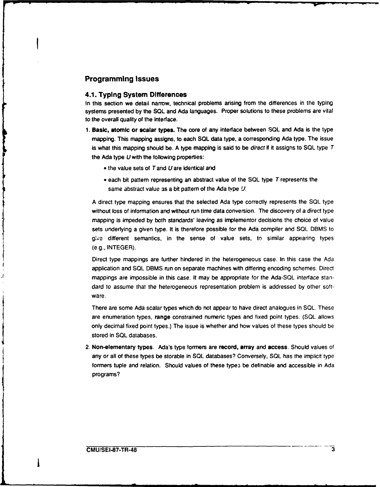# **Programming Issues**

#### **4.1. Typing System Differences**

In this section we detail narrow, technical problems arising from the differences in the typing systems presented **by** the **SQL** and Ada languages. Proper solutions to these problems are vital to the overall quality of the interface.

- **1.** Basic, atomic or scalar types. The core of any interface between **SQL** and Ada is the type mapping. This mapping assigns, to each **SQL** data type, a corresponding Ada type. The issue is what this mapping should be. **A** type mapping is said to be direct i it assigns to **SQL** type T the Ada type **U** with the following properties:
	- **e** the value sets of Tand **U** are identical and
	- **\*** each **bit** pattern representing an abstract value of the **SQL** type T represents the same abstract value as a **bit** pattern of the Ada type **U.**

**A** direct type mapping ensures that the selected Ada type correctly represents the **SQL** type without loss of information and without run time data conversion. The discovery of a direct type mapping is impeded **by** both standards' leaving as implementor decisions the choice of value sets underlying a given type. It is therefore possible for the Ada compiler and **SQL** DBMS to **g;ve** different semantics, in the sense of value sets, to similar appearing types (e.g., **INTEGER).**

Direct type mappings are further hindered in the heterogeneous case. In this case the Ada application and **SQL** DBMS run on separate machines with differing encoding schemes. Direct mappings are impossible in this case. **It** may be appropriate for the Ada-SQL interface standard to assume that the heterogeneous representation problem is addressed **by** other software.

There are some Ada scalar types which do not appear to have direct analogues in **SQL.** These are enumeration types, range constrained numeric types and fixed point types. **(SQL** allows only decimal fixed point types.) The issue is whether and how values of these types should be stored in **SQL** databases.

2. Non-elementary types. Ada's type formers are record, array and access. Should values of any or all of these types be storable in **SQL** databases? Conversely, **SQL** has the implicit type formers tuple and relation. Should values of these type3 be definable and accessible in Ada programs?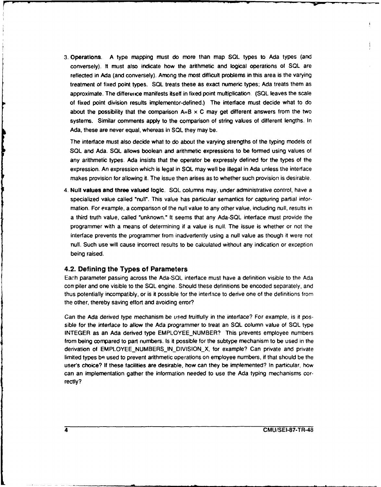**3.** Operations. A type mapping must do more than map **SOL** types to Ada types (and conversely). **It** must also indicate how the arithmetic and logical operations of **SOL** are reflected in Ada (and conversely). Among the most difficult problems in this area is the varying treatment of fixed point types. **SQL** treats these as exact numeric types; Ada treats them as approximate. The differeiice manifests itself in fixed point multiplication **(SQL** leaves the scale of fixed point division results implementor-defined.) The interface must decide what to do about the possibility that the comparison  $A = B \times C$  may get different answers from the two systems. Similar comments apply to the comparison of string values of different lengths. In Ada, these are never equal, whereas in **SQL** they may be.

The interface must also decide what to do about the varying strengths of the typing models of **SQL** and Ada. **SQL** allows boolean and arithmetic expressions to be formed using values of any arithmetic types. Ada insists that the operator be expressly defined for the types of the expression. An expression which is legal in **SQL** may well be illegal in Ada unless the interface makes provision for allowing **it.** The issue then arises as to whether such provision is desirable.

4. Null values **and** three valued logic. **SQL** columns may, under administrative control, have a specialized value called "null". This value has particular semantics for capturing partial information. For example, a comparison of the null value to any other value, including null, results in a third truth value, called "unknown." **It** seems that any Ada-SQL interface must provide the programmer with a means of determining if a value is null. The issue is whether or not the interface prevents the programmer from inadvertently using a null value as though **ift** were not null. Such use will cause incorrect results to be calculated without any indication or exception being raised.

#### **4.2. Defining the Types of Parameters**

Each parameter passing across the Ada-SQL interface must have a definition visible to the Ada conpiler and one visible to the **SQL** engine. Should these definitions be encoded separately, and thus potentially incompatibly, or is it possible for the interface to derive one of the definitions from the other, thereby saving effort and avoiding error?

Can the Ada derived type mechanism be used fruitfully in the interface? For example, is **it** possible for the interface to allow the Ada programmer to treat an **SQL** column value of **SQL** type **INTEGER as an Ada derived type EMPLOYEE\_NUMBER?** This prevents employee numbers from being compared to part numbers. Is it possible for the subtype mechanism to be used in the derivation of **EMPLOYEE\_NUMBERS\_IN\_DIVISION\_X**, for example? Can private and private limited types **be** used to prevent arithmetic operations on employee numbers, if that should be the user's choice? **If** these facilities are desirable, how can they be implemented? In particular, how can an implementation gather the information needed to use the Ada typing mechanisms correctly?

4 **CMU/SEI-87-TR-48**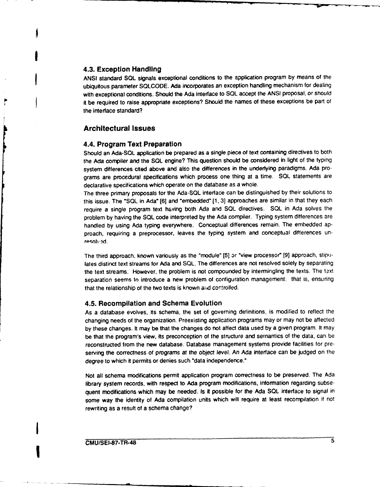**4.3. Exception Handling**<br>**ANSI standard SQL signals exceptional conditions to the application program by means of the** ubiquitous parameter **SOLCODE.** Ada incorporates an exception handling mechanism for dealing with exceptional conditions. Should the Ada interface to **SQL** accept the **ANSI** proposal, or should **it** be required to raise appropriate exceptions? Should the names of these exceptions be part of the interface standard?

# **Architectural Issues**

#### **4.4. Program Text Preparation**

Should an Ada-SQL application be prepared as a single piece of text containing directives to both the Ada compiler and the **SQL** engine? This question should be considered in light of the typing system differences cited above and also the differences in the underlying paradigms. Ada programs are procedural specifications which process one thing at a time. **SQL** statements are declarative specifications which operate on the database as a whole.

The three primary proposals for the Ada-SQL interface can be distinguished **by** their solutions to this issue. The **"SQL** in Ada" **(6]** and "embedded" **[1, 31** approaches are similar in that they each require a single program text having both Ada and **SQL** directives. **SQL** in Ada solves the problem **by** having the **SQL** code interpreted **by** the Ada compiler. Typing system differences are handled **by** using Ada typing everywhere. Conceptual differences remain. The embedded approach, requiring a preprocessor, leaves the typing system and conceptual differences unresolved.

The third approach, known variously as the "module" **[5] or** "view processor' **[9]** approach, stipuilates distinct text streams for Ada and **SQL.** The differences are not resolved solely **by** separating the text streams. However, the problem is not compounded **by** intermingling the texts. The **taxt** separation seems **to** introduce a new problem of configuration management: that is, ensuring that the relationship of the two texts is known aid controlled.

#### 4.5. **Recompilation and Schema Evolution**

As a database evolves, its schema, the set of governing definitions, is modified to reflect the changing needs of the organization. Preexisting application programs may or may not be affected **by** these changes. **It** may be that the changes do not affect data used **by** a given program. It may be that the program's view, its preconception of the structure and semantics of the data, can be reconstructed from the new database. Database management systems provide facilities for preserving the correctness of programs at the object level. An Ada interface can be judged on the degree to which it permits or denies such "data independence."

Not all schema modifications permit application program correctness to be preserved. The Ada library system records, with respect to Ada program modifications, information regarding subsequent modifications which may be needed. Is **it** possible for the Ada **SQL** interface to signal in some way the identity of Ada compilation units which will require at least recompilation if not rewriting as a result of a schema change?

**I**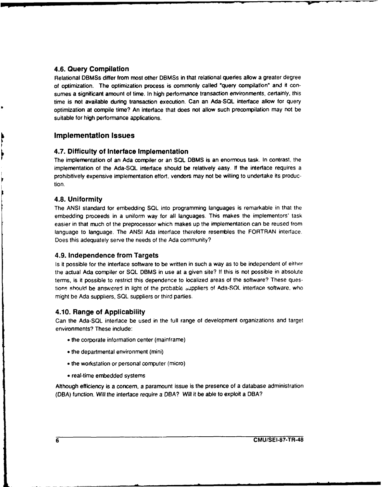# **4.6. Query Compilation**

Relational DBMSs differ from most other DBMSs in that relational queries allow a greater degree of optimization. The optimization process is commonly called "query compilation" and **it** consumes a significant amount of time. In high performance transaction environments, certainly, this time is not available during transaction execution. Can an Ada-SQL interface allow for query optimization at compile time? An interface that does not allow such precompilation may not be suitable for high performance applications.

# **Implementation Issues**

### **4.7. Difficulty of Interface Implementation**

The implementation of an Ada compiler or an **SQL** DBMS is an enormous task. In contrast, the implementation of the Ada-SQL interface should be relatively easy. **If** the interface requires a prohibitively expensive implementation effort, vendors may not be willing to undertake its production.

#### **4.8. Uniformity**

┞

ļ

The **ANSI** standard for embedding **SQL** into programming languages is remarkable in that the embedding proceeds in a uniform way for all languages. This makes the implementors' task easier in that much of the preprocessor which makes up the implementation can be reused from language to language. The **ANSI** Ada interface therefore resembles the FORTRAN interface. Does this adequately serve the needs of the Ada community?

#### **4.9. Independence from Targets**

Is it possible for the interface software to be written in such a way as to be independent of either the actual Ada compiler or **SQL** DBMS in use at a given site? **If** this is not possible in absolute terms, is it possible to restrict this dependence to localized areas of the software? These questions should be answered in light of the probable zappliers of Ada-SOL interface software, who might be Ada suppliers, SQL suppliers or third parties.

### **4.10. Range of Applicability**

Can the Ada-SQL interface be used in the full range of development organizations and target environments? These include:

- the corporate information center (mainframe)
- \* **the** departmental environment (mini)
- **\*** the workstation or personal computer (micro)
- **\*** real-time embedded systems

Although efficiency is a concern, a paramount issue is the presence of a database administration (DBA) function. Will the interface require a DBA? Will it be able to exploit a DBA?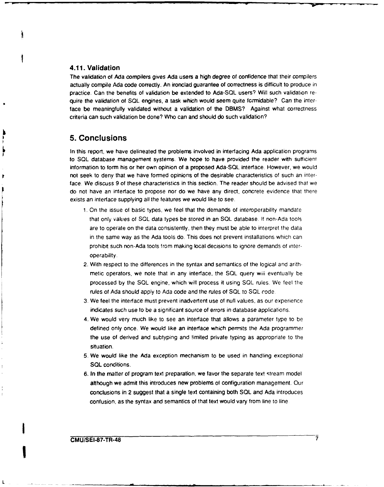#### **4.11. Validation**

**i**

The validation of Ada compilers gives Ada users a high degree of confidence that their compilers actually compile Ada code correctly. An ironclad guarantee of correctness is difficult to produce in practice. Can the benefits **of** validation be extended to Ada-SQL users? Will such validation require the validation of SQL engines, a task which would seem quite formidable? Can the interface be meaningfully validated without a validation of the DBMS? Against what correctness criteria can such validation be done? Who can and should do such validation?

## **5. Conclusions**

In this report, we have delineated the problems involved in interfacing Ada application programs to SQL database management systems. We hope to have provided the reader with sufficient information to form his or her own opinion of a proposed Ada-SQL interface. However, we would not seek to deny that we have formed opinions of the desirable characteristics of such an interface. We discuss 9 of these characteristics in this section. The reader should be advised that we do not have an interface to propose nor do we have any direct, concrete evidence that there exists an interface supplying all the features we would like to see.

- 1. On the issue of basic types, we feel that the demands of interoperability mandate that only values of SQL data types be stored in an SQL database. If non-Ada tools are to operate on the data consistently, then they must be able to interpret the data in the same way as the Ada tools do. This does not prevent installations which can prohibit such non-Ada tools from making local decisions to ignore demands of interoperability.
- 2. With respect to the differences in the syntax and semantics of the logical and arithmetic operators, we note that in any interlace, the SQL query wiii eventually be processed by the SQL engine, which will process it using SQL rules. We feel the rules of Ada should apply to Ada code and the rules of SQL to SQL code.
- 3. We feel the interface must prevent inadvertent use of null values, as our experience indicates such use to be a significant source of errors in database applications.
- 4. We would very much like to see an interface that allows a parameter type to be defined only once. We would like an interface which permits the Ada programmer the use of derived and subtyping and !imited private typing as appropriate to the situation.
- **5.** We would like the Ada exception mechanism to be used in handling exceptional SQL conditions.
- 6. In the matter of program text preparation, we favor the separate text stream model athough we admit this introduces new problems of configuration management. Our conclusions in 2 suggest that a single text containing both SQL and Ada introduces confusion, as the syntax and semantics of that text would vary from line to line

**!**

*L*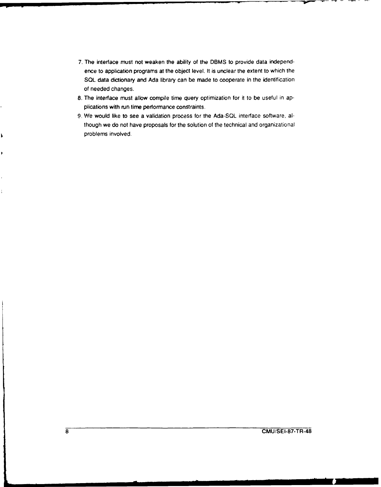- **7.** The interface must not weaken the ability of the DBMS to provide data independence to application programs at the object level. It is unclear the extent to which the SQL data dictionary and Ada library can be made to cooperate in the identification of needed changes.
- 8. The interface must allow compile time query optimization for it to be useful in applications with run time performance constraints.
- 9. We would like to see a validation process for the Ada-SQL interface software, although we do not have proposals for the solution of the technical and organizational problems involved.

**8** CMU/SEI-87-TR-48

L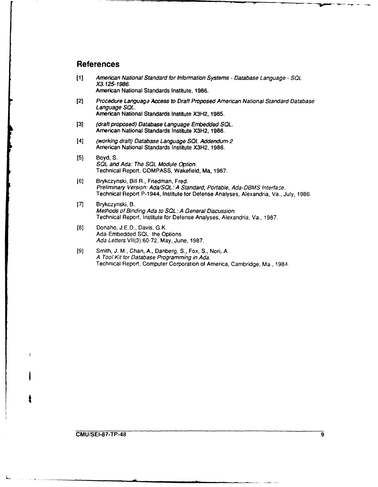### **References**

- **[1]** American National Standard for *Information* Systems **-** Database Language **- SQL X3.125-1986.** American National Standards Institute, **1986.**
- [21 Procedure Languaga Access to Draft Proposed American National Standard Database Language **SQL.** American National Standards Institute X3H2, **1985.**
- **[3]** (draft proposed) Database Language Embedded **SQL.** American National Standards Institute **X3H2, 1986.**
- [4] (working draft) Database Language **SQL** Addendum-2 American National Standards Institute **X3H2, 1986.**
- **151** Boyd, S.<br>SQL and Ada: The SQL Module Option. *SOL* and Ada: The **SQL** Module Option. Technical Report, **COMPASS,** Wakefield, Ma, **1987.**
- **[6]** Brykczynski, Bill R., Friedman, Fred. Preliminary Version: Ada/SQL: **A** Standard, Portable, Ada-DBMS Interface. Technical Report P-1944, Institute for Defense Analyses, Alexandria, Va., July, 1986.
- [7] Brykczynski, B. Methods of Binding Ada to SQL: A General Discussion. Technical Report, Institute for Defense Analyses, Alexandria, Va., 1987.
- [8] Donaho, **J.E.D.,** Davis, G.K. Ada-Embedded SQL: the Options. Ada Letters VII(3):60-72, May, June, 1987.
- [9] Smith, J. M., Chan, A., Danberg, **S.,** Fox, **S.,** Nori, A. A Tool Kit for Database Programming in Ada. Technical Report, Computer Corporation of America, Cambridge, Ma., 1984.

**CMU/SEI-87-TP-48 9**

ł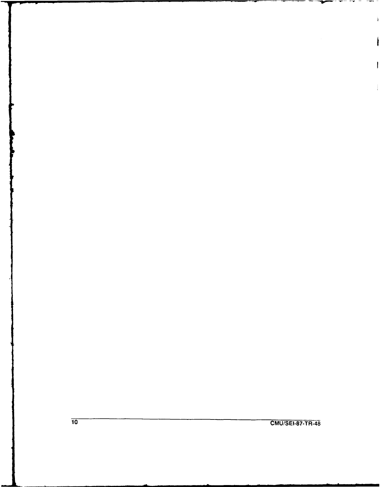Ť